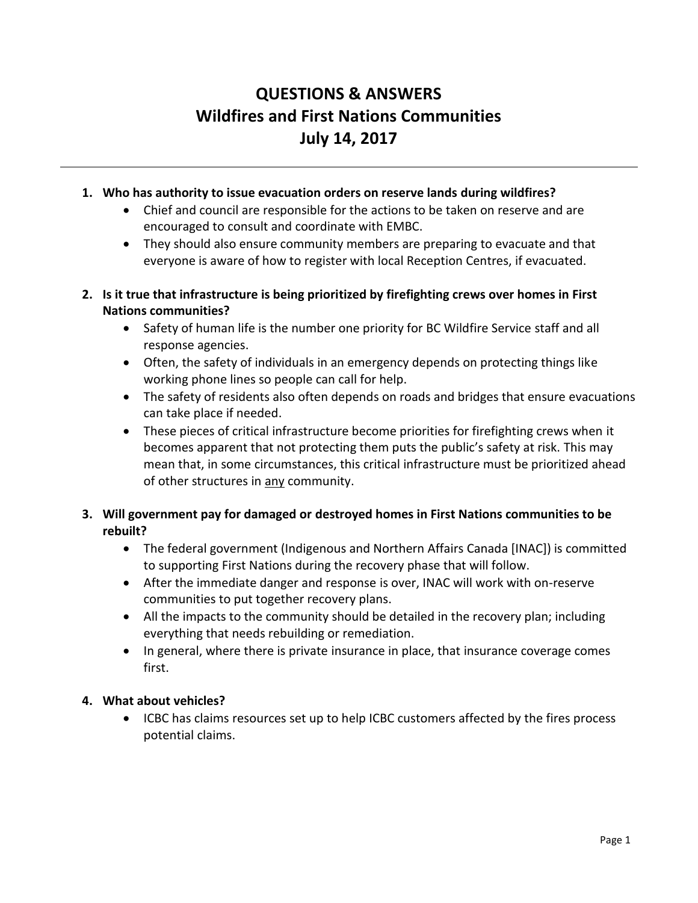# **QUESTIONS & ANSWERS Wildfires and First Nations Communities July 14, 2017**

- **1. Who has authority to issue evacuation orders on reserve lands during wildfires?**
	- Chief and council are responsible for the actions to be taken on reserve and are encouraged to consult and coordinate with EMBC.
	- They should also ensure community members are preparing to evacuate and that everyone is aware of how to register with local Reception Centres, if evacuated.
- **2. Is it true that infrastructure is being prioritized by firefighting crews over homes in First Nations communities?**
	- Safety of human life is the number one priority for BC Wildfire Service staff and all response agencies.
	- Often, the safety of individuals in an emergency depends on protecting things like working phone lines so people can call for help.
	- The safety of residents also often depends on roads and bridges that ensure evacuations can take place if needed.
	- These pieces of critical infrastructure become priorities for firefighting crews when it becomes apparent that not protecting them puts the public's safety at risk. This may mean that, in some circumstances, this critical infrastructure must be prioritized ahead of other structures in any community.
- **3. Will government pay for damaged or destroyed homes in First Nations communities to be rebuilt?**
	- The federal government (Indigenous and Northern Affairs Canada [INAC]) is committed to supporting First Nations during the recovery phase that will follow.
	- After the immediate danger and response is over, INAC will work with on-reserve communities to put together recovery plans.
	- All the impacts to the community should be detailed in the recovery plan; including everything that needs rebuilding or remediation.
	- In general, where there is private insurance in place, that insurance coverage comes first.

## **4. What about vehicles?**

 ICBC has claims resources set up to help ICBC customers affected by the fires process potential claims.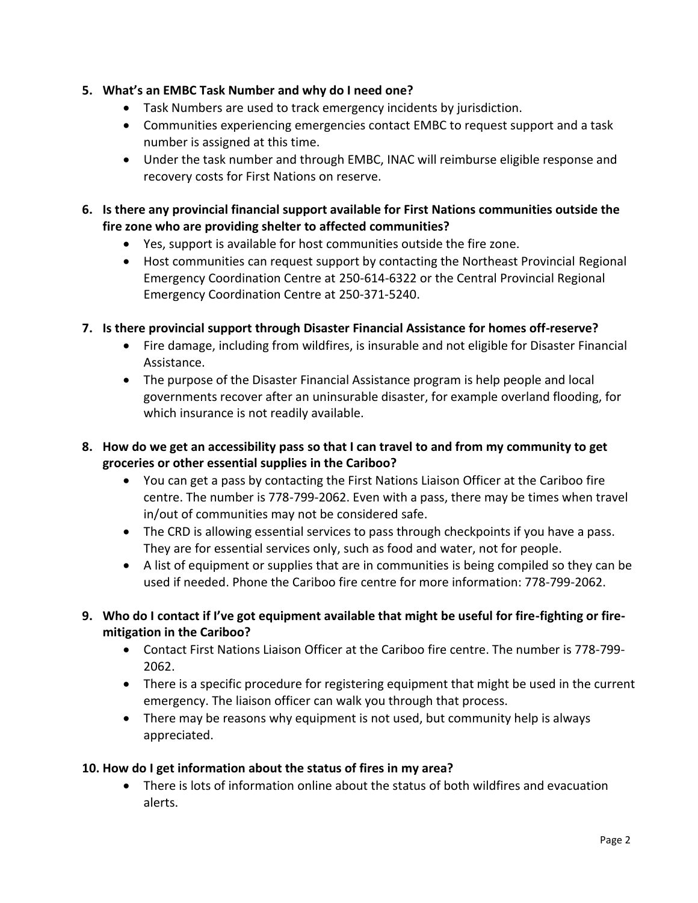- **5. What's an EMBC Task Number and why do I need one?**
	- Task Numbers are used to track emergency incidents by jurisdiction.
	- Communities experiencing emergencies contact EMBC to request support and a task number is assigned at this time.
	- Under the task number and through EMBC, INAC will reimburse eligible response and recovery costs for First Nations on reserve.
- **6. Is there any provincial financial support available for First Nations communities outside the fire zone who are providing shelter to affected communities?**
	- Yes, support is available for host communities outside the fire zone.
	- Host communities can request support by contacting the Northeast Provincial Regional Emergency Coordination Centre at 250-614-6322 or the Central Provincial Regional Emergency Coordination Centre at 250-371-5240.
- **7. Is there provincial support through Disaster Financial Assistance for homes off-reserve?**
	- Fire damage, including from wildfires, is insurable and not eligible for Disaster Financial Assistance.
	- The purpose of the Disaster Financial Assistance program is help people and local governments recover after an uninsurable disaster, for example overland flooding, for which insurance is not readily available.
- **8. How do we get an accessibility pass so that I can travel to and from my community to get groceries or other essential supplies in the Cariboo?**
	- You can get a pass by contacting the First Nations Liaison Officer at the Cariboo fire centre. The number is 778-799-2062. Even with a pass, there may be times when travel in/out of communities may not be considered safe.
	- The CRD is allowing essential services to pass through checkpoints if you have a pass. They are for essential services only, such as food and water, not for people.
	- A list of equipment or supplies that are in communities is being compiled so they can be used if needed. Phone the Cariboo fire centre for more information: 778-799-2062.
- **9. Who do I contact if I've got equipment available that might be useful for fire-fighting or firemitigation in the Cariboo?**
	- Contact First Nations Liaison Officer at the Cariboo fire centre. The number is 778-799- 2062.
	- There is a specific procedure for registering equipment that might be used in the current emergency. The liaison officer can walk you through that process.
	- There may be reasons why equipment is not used, but community help is always appreciated.

# **10. How do I get information about the status of fires in my area?**

 There is lots of information online about the status of both wildfires and evacuation alerts.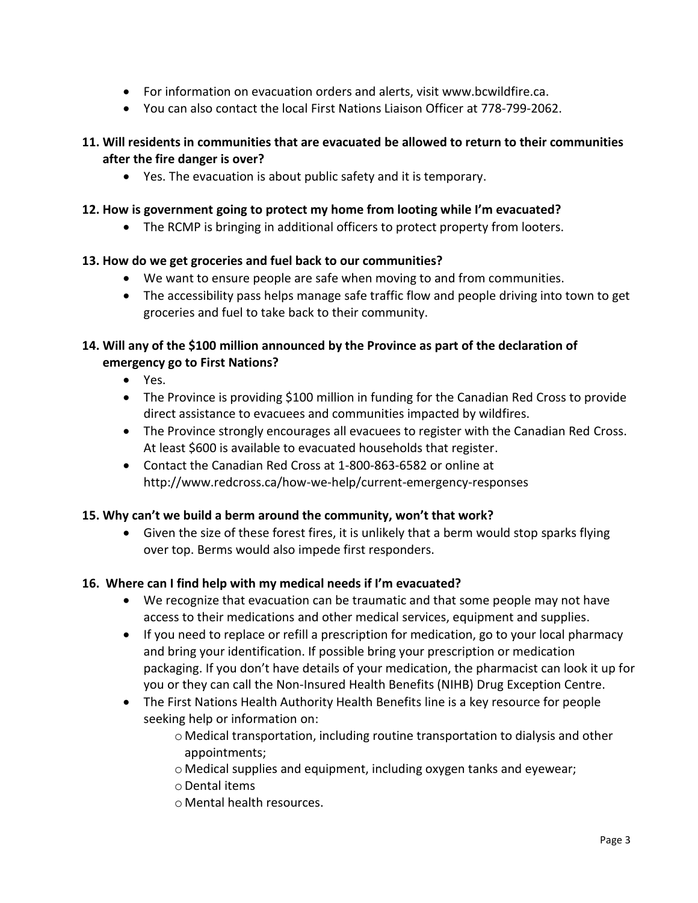- For information on evacuation orders and alerts, visit www.bcwildfire.ca.
- You can also contact the local First Nations Liaison Officer at 778-799-2062.

## **11. Will residents in communities that are evacuated be allowed to return to their communities after the fire danger is over?**

Yes. The evacuation is about public safety and it is temporary.

#### **12. How is government going to protect my home from looting while I'm evacuated?**

• The RCMP is bringing in additional officers to protect property from looters.

## **13. How do we get groceries and fuel back to our communities?**

- We want to ensure people are safe when moving to and from communities.
- The accessibility pass helps manage safe traffic flow and people driving into town to get groceries and fuel to take back to their community.

## **14. Will any of the \$100 million announced by the Province as part of the declaration of emergency go to First Nations?**

- Yes.
- The Province is providing \$100 million in funding for the Canadian Red Cross to provide direct assistance to evacuees and communities impacted by wildfires.
- The Province strongly encourages all evacuees to register with the Canadian Red Cross. At least \$600 is available to evacuated households that register.
- Contact the Canadian Red Cross at 1-800-863-6582 or online at <http://www.redcross.ca/how-we-help/current-emergency-responses>

## **15. Why can't we build a berm around the community, won't that work?**

 Given the size of these forest fires, it is unlikely that a berm would stop sparks flying over top. Berms would also impede first responders.

## **16. Where can I find help with my medical needs if I'm evacuated?**

- We recognize that evacuation can be traumatic and that some people may not have access to their medications and other medical services, equipment and supplies.
- If you need to replace or refill a prescription for medication, go to your local pharmacy and bring your identification. If possible bring your prescription or medication packaging. If you don't have details of your medication, the pharmacist can look it up for you or they can call the Non-Insured Health Benefits (NIHB) Drug Exception Centre.
- The First Nations Health Authority Health Benefits line is a key resource for people seeking help or information on:
	- o Medical transportation, including routine transportation to dialysis and other appointments;
	- o Medical supplies and equipment, including oxygen tanks and eyewear;
	- oDental items
	- o Mental health resources.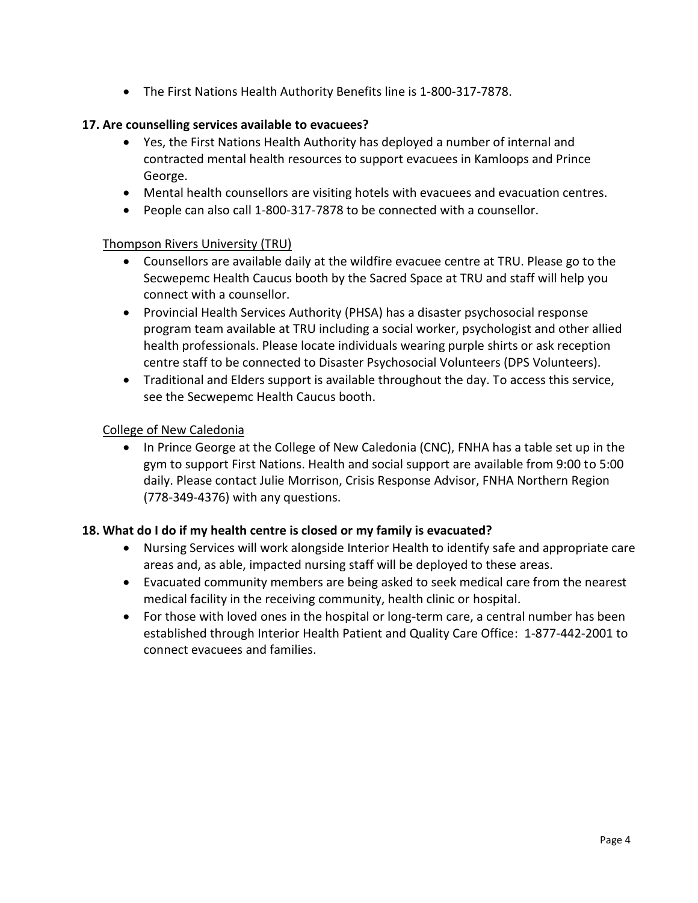The First Nations Health Authority Benefits line is 1-800-317-7878.

#### **17. Are counselling services available to evacuees?**

- Yes, the First Nations Health Authority has deployed a number of internal and contracted mental health resources to support evacuees in Kamloops and Prince George.
- Mental health counsellors are visiting hotels with evacuees and evacuation centres.
- People can also call 1-800-317-7878 to be connected with a counsellor.

#### Thompson Rivers University (TRU)

- Counsellors are available daily at the wildfire evacuee centre at TRU. Please go to the Secwepemc Health Caucus booth by the Sacred Space at TRU and staff will help you connect with a counsellor.
- Provincial Health Services Authority (PHSA) has a disaster psychosocial response program team available at TRU including a social worker, psychologist and other allied health professionals. Please locate individuals wearing purple shirts or ask reception centre staff to be connected to Disaster Psychosocial Volunteers (DPS Volunteers).
- Traditional and Elders support is available throughout the day. To access this service, see the Secwepemc Health Caucus booth.

#### College of New Caledonia

• In Prince George at the College of New Caledonia (CNC), FNHA has a table set up in the gym to support First Nations. Health and social support are available from 9:00 to 5:00 daily. Please contact Julie Morrison, Crisis Response Advisor, FNHA Northern Region (778-349-4376) with any questions.

#### **18. What do I do if my health centre is closed or my family is evacuated?**

- Nursing Services will work alongside Interior Health to identify safe and appropriate care areas and, as able, impacted nursing staff will be deployed to these areas.
- Evacuated community members are being asked to seek medical care from the nearest medical facility in the receiving community, health clinic or hospital.
- For those with loved ones in the hospital or long-term care, a central number has been established through Interior Health Patient and Quality Care Office: 1-877-442-2001 to connect evacuees and families.